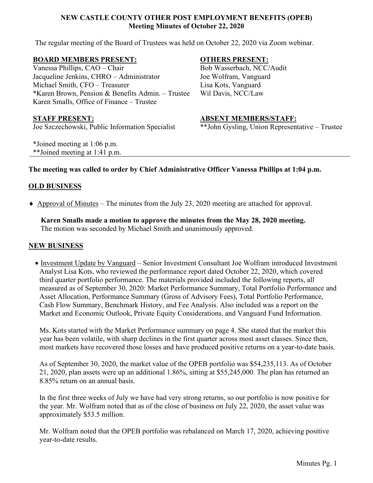## **NEW CASTLE COUNTY OTHER POST EMPLOYMENT BENEFITS (OPEB) Meeting Minutes of October 22, 2020**

The regular meeting of the Board of Trustees was held on October 22, 2020 via Zoom webinar.

#### **BOARD MEMBERS PRESENT:**

Vanessa Phillips, CAO – Chair Jacqueline Jenkins, CHRO – Administrator Michael Smith, CFO – Treasurer \*Karen Brown, Pension & Benefits Admin. – Trustee Karen Smalls, Office of Finance – Trustee

Joe Szczechowski, Public Information Specialist

\*Joined meeting at 1:06 p.m. \*\*Joined meeting at 1:41 p.m.

# **OTHERS PRESENT:**

Bob Wasserbach, NCC/Audit Joe Wolfram, Vanguard Lisa Kots, Vanguard Wil Davis, NCC/Law

## **STAFF PRESENT: ABSENT MEMBERS/STAFF:**

\*\*John Gysling, Union Representative – Trustee

# **The meeting was called to order by Chief Administrative Officer Vanessa Phillips at 1:04 p.m.**

# **OLD BUSINESS**

♦ Approval of Minutes – The minutes from the July 23, 2020 meeting are attached for approval.

**Karen Smalls made a motion to approve the minutes from the May 28, 2020 meeting.** The motion was seconded by Michael Smith and unanimously approved.

## **NEW BUSINESS**

• Investment Update by Vanguard – Senior Investment Consultant Joe Wolfram introduced Investment Analyst Lisa Kots, who reviewed the performance report dated October 22, 2020, which covered third quarter portfolio performance. The materials provided included the following reports, all measured as of September 30, 2020: Market Performance Summary, Total Portfolio Performance and Asset Allocation, Performance Summary (Gross of Advisory Fees), Total Portfolio Performance, Cash Flow Summary, Benchmark History, and Fee Analysis. Also included was a report on the Market and Economic Outlook, Private Equity Considerations, and Vanguard Fund Information.

Ms. Kots started with the Market Performance summary on page 4. She stated that the market this year has been volatile, with sharp declines in the first quarter across most asset classes. Since then, most markets have recovered those losses and have produced positive returns on a year-to-date basis.

As of September 30, 2020, the market value of the OPEB portfolio was \$54,235,113. As of October 21, 2020, plan assets were up an additional 1.86%, sitting at \$55,245,000. The plan has returned an 8.85% return on an annual basis.

In the first three weeks of July we have had very strong returns, so our portfolio is now positive for the year. Mr. Wolfram noted that as of the close of business on July 22, 2020, the asset value was approximately \$53.5 million.

Mr. Wolfram noted that the OPEB portfolio was rebalanced on March 17, 2020, achieving positive year-to-date results.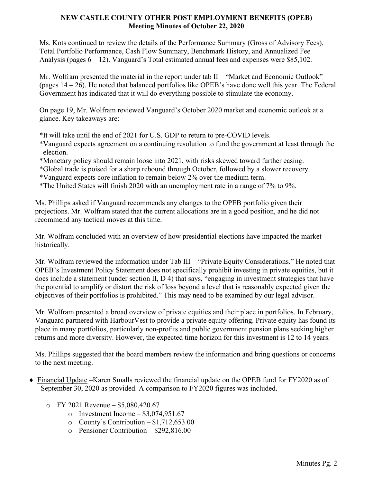## **NEW CASTLE COUNTY OTHER POST EMPLOYMENT BENEFITS (OPEB) Meeting Minutes of October 22, 2020**

Ms. Kots continued to review the details of the Performance Summary (Gross of Advisory Fees), Total Portfolio Performance, Cash Flow Summary, Benchmark History, and Annualized Fee Analysis (pages 6 – 12). Vanguard's Total estimated annual fees and expenses were \$85,102.

Mr. Wolfram presented the material in the report under tab II – "Market and Economic Outlook" (pages 14 – 26). He noted that balanced portfolios like OPEB's have done well this year. The Federal Government has indicated that it will do everything possible to stimulate the economy.

On page 19, Mr. Wolfram reviewed Vanguard's October 2020 market and economic outlook at a glance. Key takeaways are:

\*It will take until the end of 2021 for U.S. GDP to return to pre-COVID levels.

- \*Vanguard expects agreement on a continuing resolution to fund the government at least through the election.
- \*Monetary policy should remain loose into 2021, with risks skewed toward further easing.
- \*Global trade is poised for a sharp rebound through October, followed by a slower recovery.
- \*Vanguard expects core inflation to remain below 2% over the medium term.
- \*The United States will finish 2020 with an unemployment rate in a range of 7% to 9%.

Ms. Phillips asked if Vanguard recommends any changes to the OPEB portfolio given their projections. Mr. Wolfram stated that the current allocations are in a good position, and he did not recommend any tactical moves at this time.

Mr. Wolfram concluded with an overview of how presidential elections have impacted the market historically.

Mr. Wolfram reviewed the information under Tab III – "Private Equity Considerations." He noted that OPEB's Investment Policy Statement does not specifically prohibit investing in private equities, but it does include a statement (under section II, D 4) that says, "engaging in investment strategies that have the potential to amplify or distort the risk of loss beyond a level that is reasonably expected given the objectives of their portfolios is prohibited." This may need to be examined by our legal advisor.

Mr. Wolfram presented a broad overview of private equities and their place in portfolios. In February, Vanguard partnered with HarbourVest to provide a private equity offering. Private equity has found its place in many portfolios, particularly non-profits and public government pension plans seeking higher returns and more diversity. However, the expected time horizon for this investment is 12 to 14 years.

Ms. Phillips suggested that the board members review the information and bring questions or concerns to the next meeting.

- ♦ Financial Update –Karen Smalls reviewed the financial update on the OPEB fund for FY2020 as of September 30, 2020 as provided. A comparison to FY2020 figures was included.
	- o FY 2021 Revenue \$5,080,420.67
		- $\circ$  Investment Income \$3,074,951.67
		- $\circ$  County's Contribution \$1,712,653.00
		- o Pensioner Contribution \$292,816.00